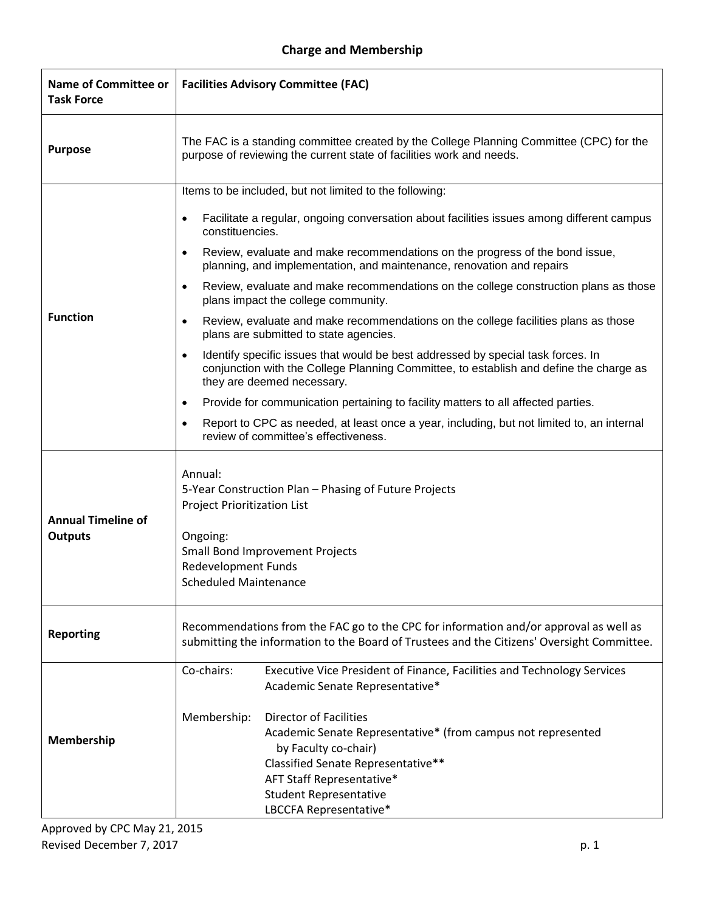## **Charge and Membership**

| <b>Name of Committee or</b><br><b>Task Force</b> | <b>Facilities Advisory Committee (FAC)</b>                                                                                                                                                                                                                                                                                                                                                                                                                                                                                                                                                                                                                                                                                                                                                                                                                                                                                                                                                                                                                                                                                       |
|--------------------------------------------------|----------------------------------------------------------------------------------------------------------------------------------------------------------------------------------------------------------------------------------------------------------------------------------------------------------------------------------------------------------------------------------------------------------------------------------------------------------------------------------------------------------------------------------------------------------------------------------------------------------------------------------------------------------------------------------------------------------------------------------------------------------------------------------------------------------------------------------------------------------------------------------------------------------------------------------------------------------------------------------------------------------------------------------------------------------------------------------------------------------------------------------|
| <b>Purpose</b>                                   | The FAC is a standing committee created by the College Planning Committee (CPC) for the<br>purpose of reviewing the current state of facilities work and needs.                                                                                                                                                                                                                                                                                                                                                                                                                                                                                                                                                                                                                                                                                                                                                                                                                                                                                                                                                                  |
| <b>Function</b>                                  | Items to be included, but not limited to the following:<br>Facilitate a regular, ongoing conversation about facilities issues among different campus<br>$\bullet$<br>constituencies.<br>Review, evaluate and make recommendations on the progress of the bond issue,<br>$\bullet$<br>planning, and implementation, and maintenance, renovation and repairs<br>Review, evaluate and make recommendations on the college construction plans as those<br>$\bullet$<br>plans impact the college community.<br>Review, evaluate and make recommendations on the college facilities plans as those<br>$\bullet$<br>plans are submitted to state agencies.<br>Identify specific issues that would be best addressed by special task forces. In<br>$\bullet$<br>conjunction with the College Planning Committee, to establish and define the charge as<br>they are deemed necessary.<br>Provide for communication pertaining to facility matters to all affected parties.<br>$\bullet$<br>Report to CPC as needed, at least once a year, including, but not limited to, an internal<br>$\bullet$<br>review of committee's effectiveness. |
| <b>Annual Timeline of</b><br><b>Outputs</b>      | Annual:<br>5-Year Construction Plan - Phasing of Future Projects<br><b>Project Prioritization List</b><br>Ongoing:<br><b>Small Bond Improvement Projects</b><br><b>Redevelopment Funds</b><br><b>Scheduled Maintenance</b>                                                                                                                                                                                                                                                                                                                                                                                                                                                                                                                                                                                                                                                                                                                                                                                                                                                                                                       |
| <b>Reporting</b>                                 | Recommendations from the FAC go to the CPC for information and/or approval as well as<br>submitting the information to the Board of Trustees and the Citizens' Oversight Committee.                                                                                                                                                                                                                                                                                                                                                                                                                                                                                                                                                                                                                                                                                                                                                                                                                                                                                                                                              |
| Membership                                       | Co-chairs:<br>Executive Vice President of Finance, Facilities and Technology Services<br>Academic Senate Representative*<br>Membership:<br><b>Director of Facilities</b><br>Academic Senate Representative* (from campus not represented<br>by Faculty co-chair)<br>Classified Senate Representative**<br>AFT Staff Representative*<br><b>Student Representative</b><br>LBCCFA Representative*                                                                                                                                                                                                                                                                                                                                                                                                                                                                                                                                                                                                                                                                                                                                   |